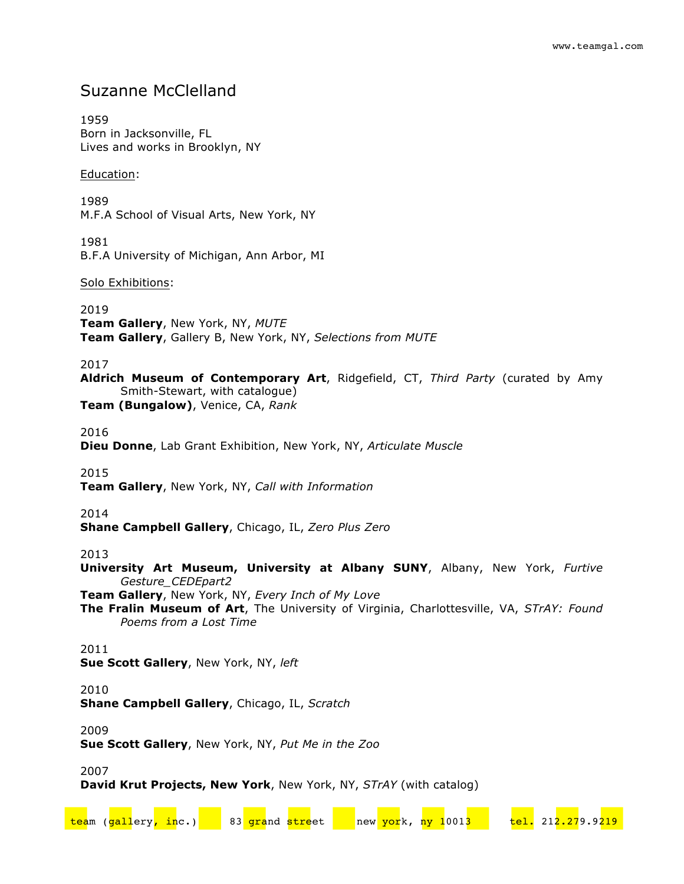# Suzanne McClelland

1959 Born in Jacksonville, FL Lives and works in Brooklyn, NY

## Education:

1989 M.F.A School of Visual Arts, New York, NY

1981 B.F.A University of Michigan, Ann Arbor, MI

## Solo Exhibitions:

2019

**Team Gallery**, New York, NY, *MUTE* **Team Gallery**, Gallery B, New York, NY, *Selections from MUTE*

2017

**Aldrich Museum of Contemporary Art**, Ridgefield, CT, *Third Party* (curated by Amy Smith-Stewart, with catalogue)

**Team (Bungalow)**, Venice, CA, *Rank*

2016

**Dieu Donne**, Lab Grant Exhibition, New York, NY, *Articulate Muscle*

2015

**Team Gallery**, New York, NY, *Call with Information*

# 2014

**Shane Campbell Gallery**, Chicago, IL, *Zero Plus Zero*

2013

**University Art Museum, University at Albany SUNY**, Albany, New York, *Furtive Gesture\_CEDEpart2*

**Team Gallery**, New York, NY, *Every Inch of My Love*

**The Fralin Museum of Art**, The University of Virginia, Charlottesville, VA, *STrAY: Found Poems from a Lost Time*

# 2011

**Sue Scott Gallery**, New York, NY, *left*

# 2010

**Shane Campbell Gallery**, Chicago, IL, *Scratch*

2009

**Sue Scott Gallery**, New York, NY, *Put Me in the Zoo* 

2007

**David Krut Projects, New York**, New York, NY, *STrAY* (with catalog)

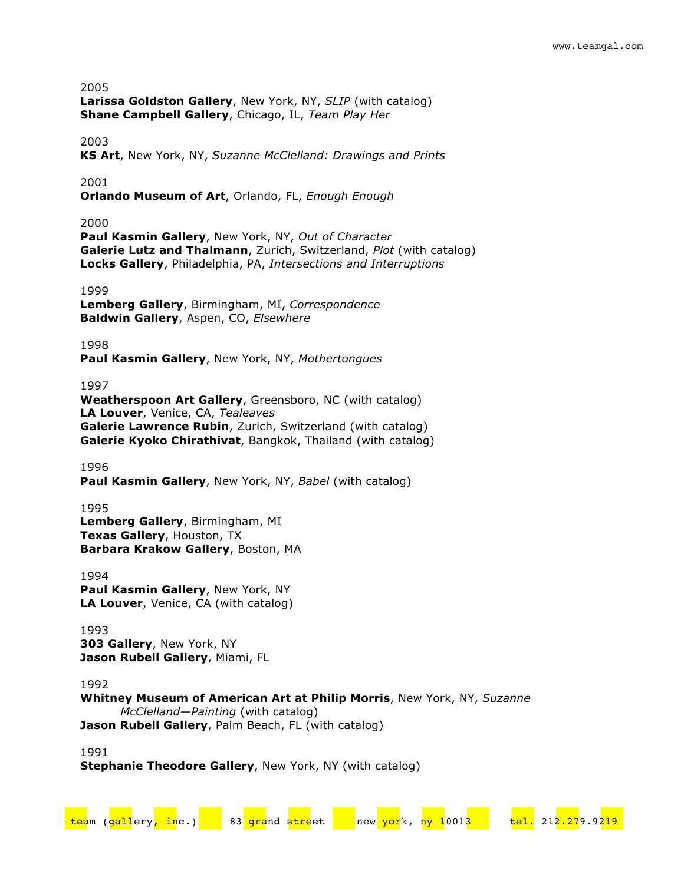**Larissa Goldston Gallery**, New York, NY, *SLIP* (with catalog) **Shane Campbell Gallery**, Chicago, IL, *Team Play Her*

# 2003

**KS Art**, New York, NY, *Suzanne McClelland: Drawings and Prints*

### 2001

**Orlando Museum of Art**, Orlando, FL, *Enough Enough*

# 2000

**Paul Kasmin Gallery**, New York, NY, *Out of Character* **Galerie Lutz and Thalmann**, Zurich, Switzerland, *Plot* (with catalog) **Locks Gallery**, Philadelphia, PA, *Intersections and Interruptions*

#### 1999

**Lemberg Gallery**, Birmingham, MI, *Correspondence* **Baldwin Gallery**, Aspen, CO, *Elsewhere*

1998

**Paul Kasmin Gallery**, New York, NY, *Mothertongues*

### 1997

**Weatherspoon Art Gallery**, Greensboro, NC (with catalog) **LA Louver**, Venice, CA, *Tealeaves* **Galerie Lawrence Rubin**, Zurich, Switzerland (with catalog) **Galerie Kyoko Chirathivat**, Bangkok, Thailand (with catalog)

1996

**Paul Kasmin Gallery**, New York, NY, *Babel* (with catalog)

#### 1995

**Lemberg Gallery**, Birmingham, MI **Texas Gallery**, Houston, TX **Barbara Krakow Gallery**, Boston, MA

1994 **Paul Kasmin Gallery**, New York, NY **LA Louver**, Venice, CA (with catalog)

1993 **303 Gallery**, New York, NY **Jason Rubell Gallery**, Miami, FL

1992

# **Whitney Museum of American Art at Philip Morris**, New York, NY, *Suzanne McClelland—Painting* (with catalog) **Jason Rubell Gallery**, Palm Beach, FL (with catalog)

team (gallery, inc.) 83 grand street new york, ny 10013 tel. 212.279.9219

1991 **Stephanie Theodore Gallery**, New York, NY (with catalog)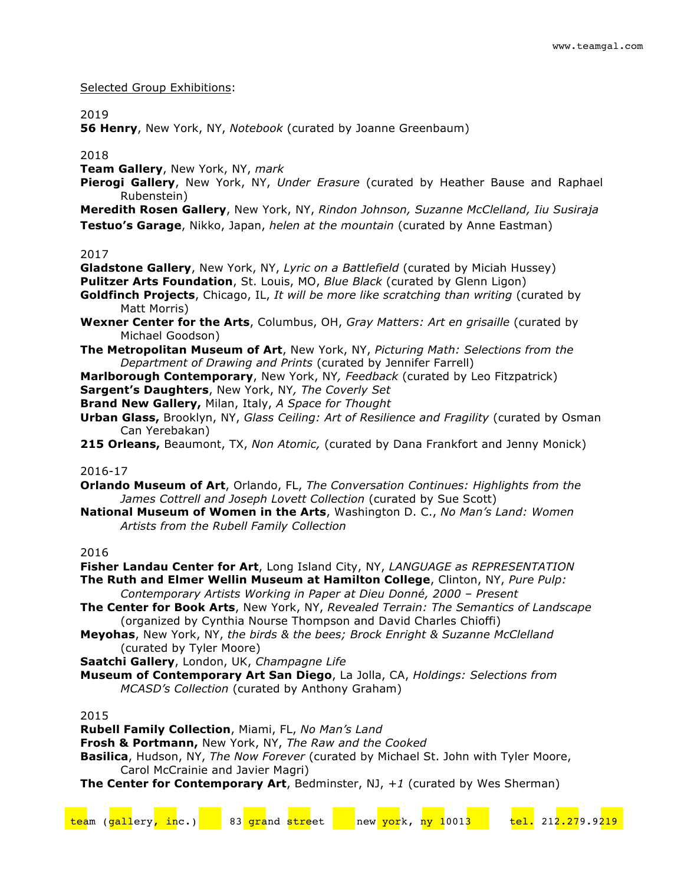#### Selected Group Exhibitions:

#### 2019

**56 Henry**, New York, NY, *Notebook* (curated by Joanne Greenbaum)

### 2018

**Team Gallery**, New York, NY, *mark*

**Pierogi Gallery**, New York, NY, *Under Erasure* (curated by Heather Bause and Raphael Rubenstein)

**Meredith Rosen Gallery**, New York, NY, *Rindon Johnson, Suzanne McClelland, Iiu Susiraja* **Testuo's Garage**, Nikko, Japan, *helen at the mountain* (curated by Anne Eastman)

#### 2017

**Gladstone Gallery**, New York, NY, *Lyric on a Battlefield* (curated by Miciah Hussey)

**Pulitzer Arts Foundation**, St. Louis, MO, *Blue Black* (curated by Glenn Ligon)

- **Goldfinch Projects**, Chicago, IL, *It will be more like scratching than writing* (curated by Matt Morris)
- **Wexner Center for the Arts**, Columbus, OH, *Gray Matters: Art en grisaille* (curated by Michael Goodson)
- **The Metropolitan Museum of Art**, New York, NY, *Picturing Math: Selections from the Department of Drawing and Prints* (curated by Jennifer Farrell)
- **Marlborough Contemporary**, New York, NY*, Feedback* (curated by Leo Fitzpatrick) **Sargent's Daughters**, New York, NY*, The Coverly Set*
- 
- **Brand New Gallery,** Milan, Italy, *A Space for Thought*
- **Urban Glass,** Brooklyn, NY, *Glass Ceiling: Art of Resilience and Fragility* (curated by Osman Can Yerebakan)
- **215 Orleans,** Beaumont, TX, *Non Atomic,* (curated by Dana Frankfort and Jenny Monick)

#### 2016-17

**Orlando Museum of Art**, Orlando, FL, *The Conversation Continues: Highlights from the James Cottrell and Joseph Lovett Collection* (curated by Sue Scott)

**National Museum of Women in the Arts**, Washington D. C., *No Man's Land: Women Artists from the Rubell Family Collection*

# 2016

**Fisher Landau Center for Art**, Long Island City, NY, *LANGUAGE as REPRESENTATION* **The Ruth and Elmer Wellin Museum at Hamilton College**, Clinton, NY, *Pure Pulp: Contemporary Artists Working in Paper at Dieu Donné, 2000 – Present*

- **The Center for Book Arts**, New York, NY, *Revealed Terrain: The Semantics of Landscape* (organized by Cynthia Nourse Thompson and David Charles Chioffi)
- **Meyohas**, New York, NY, *the birds & the bees; Brock Enright & Suzanne McClelland* (curated by Tyler Moore)
- **Saatchi Gallery**, London, UK, *Champagne Life*
- **Museum of Contemporary Art San Diego**, La Jolla, CA, *Holdings: Selections from MCASD's Collection* (curated by Anthony Graham)

2015

**Rubell Family Collection**, Miami, FL, *No Man's Land*

**Frosh & Portmann,** New York, NY, *The Raw and the Cooked*

**Basilica**, Hudson, NY, *The Now Forever* (curated by Michael St. John with Tyler Moore, Carol McCrainie and Javier Magri)

**The Center for Contemporary Art**, Bedminster, NJ, *+1* (curated by Wes Sherman)

| team (gallery <mark>, in</mark> c.) | 83 grand street | new york, ny 10013 |  | tel. 212.279.9219 |
|-------------------------------------|-----------------|--------------------|--|-------------------|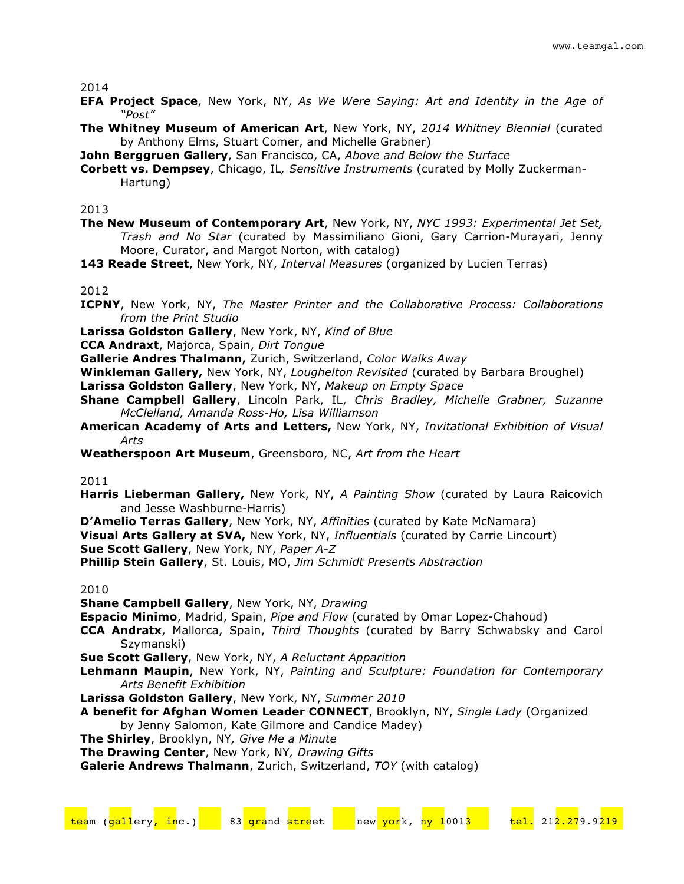- **EFA Project Space**, New York, NY, *As We Were Saying: Art and Identity in the Age of "Post"*
- **The Whitney Museum of American Art**, New York, NY, *2014 Whitney Biennial* (curated by Anthony Elms, Stuart Comer, and Michelle Grabner)
- **John Berggruen Gallery**, San Francisco, CA, *Above and Below the Surface*
- **Corbett vs. Dempsey**, Chicago, IL*, Sensitive Instruments* (curated by Molly Zuckerman-Hartung)

2013

- **The New Museum of Contemporary Art**, New York, NY, *NYC 1993: Experimental Jet Set, Trash and No Star* (curated by Massimiliano Gioni, Gary Carrion-Murayari, Jenny Moore, Curator, and Margot Norton, with catalog)
- **143 Reade Street**, New York, NY, *Interval Measures* (organized by Lucien Terras)

#### 2012

- **ICPNY**, New York, NY, *The Master Printer and the Collaborative Process: Collaborations from the Print Studio*
- **Larissa Goldston Gallery**, New York, NY, *Kind of Blue*
- **CCA Andraxt**, Majorca, Spain, *Dirt Tongue*
- **Gallerie Andres Thalmann,** Zurich, Switzerland, *Color Walks Away*
- **Winkleman Gallery,** New York, NY, *Loughelton Revisited* (curated by Barbara Broughel)
- **Larissa Goldston Gallery**, New York, NY, *Makeup on Empty Space*
- **Shane Campbell Gallery**, Lincoln Park, IL, *Chris Bradley, Michelle Grabner, Suzanne McClelland, Amanda Ross-Ho, Lisa Williamson*
- **American Academy of Arts and Letters,** New York, NY, *Invitational Exhibition of Visual Arts*
- **Weatherspoon Art Museum**, Greensboro, NC, *Art from the Heart*

#### 2011

- **Harris Lieberman Gallery,** New York, NY, *A Painting Show* (curated by Laura Raicovich and Jesse Washburne-Harris)
- **D'Amelio Terras Gallery**, New York, NY, *Affinities* (curated by Kate McNamara) **Visual Arts Gallery at SVA,** New York, NY, *Influentials* (curated by Carrie Lincourt) **Sue Scott Gallery**, New York, NY, *Paper A-Z*
- **Phillip Stein Gallery**, St. Louis, MO, *Jim Schmidt Presents Abstraction*

#### 2010

**Shane Campbell Gallery**, New York, NY, *Drawing*

**Espacio Minimo**, Madrid, Spain, *Pipe and Flow* (curated by Omar Lopez-Chahoud)

- **CCA Andratx**, Mallorca, Spain, *Third Thoughts* (curated by Barry Schwabsky and Carol Szymanski)
- **Sue Scott Gallery**, New York, NY, *A Reluctant Apparition*
- **Lehmann Maupin**, New York, NY, *Painting and Sculpture: Foundation for Contemporary Arts Benefit Exhibition*
- **Larissa Goldston Gallery**, New York, NY, *Summer 2010*
- **A benefit for Afghan Women Leader CONNECT**, Brooklyn, NY, *Single Lady* (Organized by Jenny Salomon, Kate Gilmore and Candice Madey)
- **The Shirley**, Brooklyn, NY*, Give Me a Minute*
- **The Drawing Center**, New York, NY*, Drawing Gifts*
- **Galerie Andrews Thalmann**, Zurich, Switzerland, *TOY* (with catalog)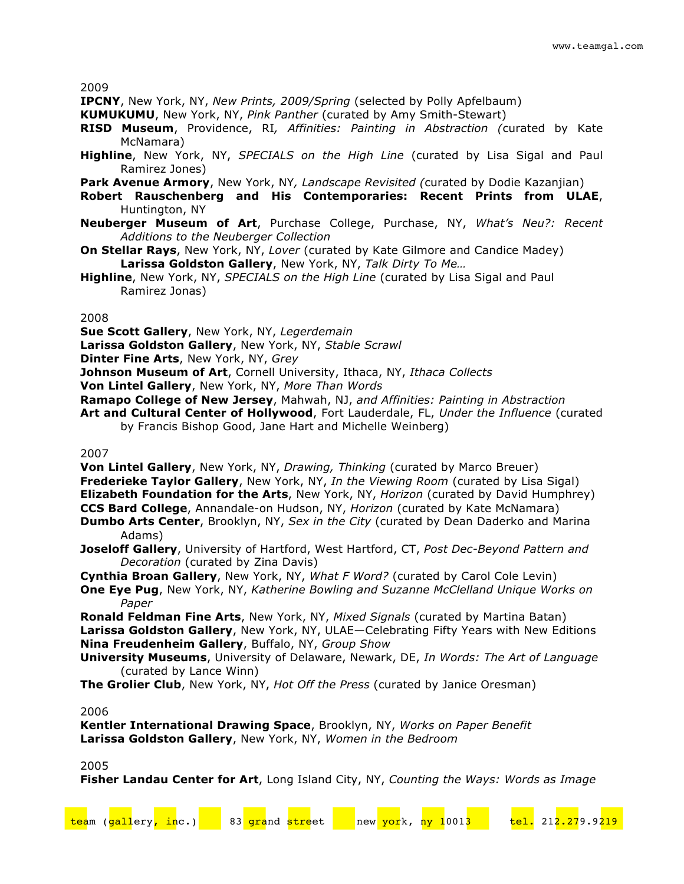**IPCNY**, New York, NY, *New Prints, 2009/Spring* (selected by Polly Apfelbaum)

- **KUMUKUMU**, New York, NY, *Pink Panther* (curated by Amy Smith-Stewart)
- **RISD Museum**, Providence, RI*, Affinities: Painting in Abstraction (*curated by Kate McNamara)
- **Highline**, New York, NY, *SPECIALS on the High Line* (curated by Lisa Sigal and Paul Ramirez Jones)
- **Park Avenue Armory**, New York, NY*, Landscape Revisited (*curated by Dodie Kazanjian)
- **Robert Rauschenberg and His Contemporaries: Recent Prints from ULAE**, Huntington, NY
- **Neuberger Museum of Art**, Purchase College, Purchase, NY, *What's Neu?: Recent Additions to the Neuberger Collection*
- **On Stellar Rays**, New York, NY, *Lover* (curated by Kate Gilmore and Candice Madey) **Larissa Goldston Gallery**, New York, NY, *Talk Dirty To Me…*
- **Highline**, New York, NY, *SPECIALS on the High Line* (curated by Lisa Sigal and Paul Ramirez Jonas)

2008

**Sue Scott Gallery**, New York, NY, *Legerdemain*

**Larissa Goldston Gallery**, New York, NY, *Stable Scrawl*

**Dinter Fine Arts**, New York, NY, *Grey*

**Johnson Museum of Art**, Cornell University, Ithaca, NY, *Ithaca Collects*

**Von Lintel Gallery**, New York, NY, *More Than Words*

**Ramapo College of New Jersey**, Mahwah, NJ, *and Affinities: Painting in Abstraction*

**Art and Cultural Center of Hollywood**, Fort Lauderdale, FL, *Under the Influence* (curated by Francis Bishop Good, Jane Hart and Michelle Weinberg)

2007

**Von Lintel Gallery**, New York, NY, *Drawing, Thinking* (curated by Marco Breuer) **Frederieke Taylor Gallery**, New York, NY, *In the Viewing Room* (curated by Lisa Sigal) **Elizabeth Foundation for the Arts**, New York, NY, *Horizon* (curated by David Humphrey) **CCS Bard College**, Annandale-on Hudson, NY, *Horizon* (curated by Kate McNamara)

- **Dumbo Arts Center**, Brooklyn, NY, *Sex in the City* (curated by Dean Daderko and Marina Adams)
- **Joseloff Gallery**, University of Hartford, West Hartford, CT, *Post Dec-Beyond Pattern and Decoration* (curated by Zina Davis)

**Cynthia Broan Gallery**, New York, NY, *What F Word?* (curated by Carol Cole Levin)

**One Eye Pug**, New York, NY, *Katherine Bowling and Suzanne McClelland Unique Works on Paper* 

**Ronald Feldman Fine Arts**, New York, NY, *Mixed Signals* (curated by Martina Batan) **Larissa Goldston Gallery**, New York, NY, ULAE—Celebrating Fifty Years with New Editions **Nina Freudenheim Gallery**, Buffalo, NY, *Group Show*

**University Museums**, University of Delaware, Newark, DE, *In Words: The Art of Language* (curated by Lance Winn)

**The Grolier Club**, New York, NY, *Hot Off the Press* (curated by Janice Oresman)

2006

**Kentler International Drawing Space**, Brooklyn, NY, *Works on Paper Benefit* **Larissa Goldston Gallery**, New York, NY, *Women in the Bedroom*

#### 2005

**Fisher Landau Center for Art**, Long Island City, NY, *Counting the Ways: Words as Image*

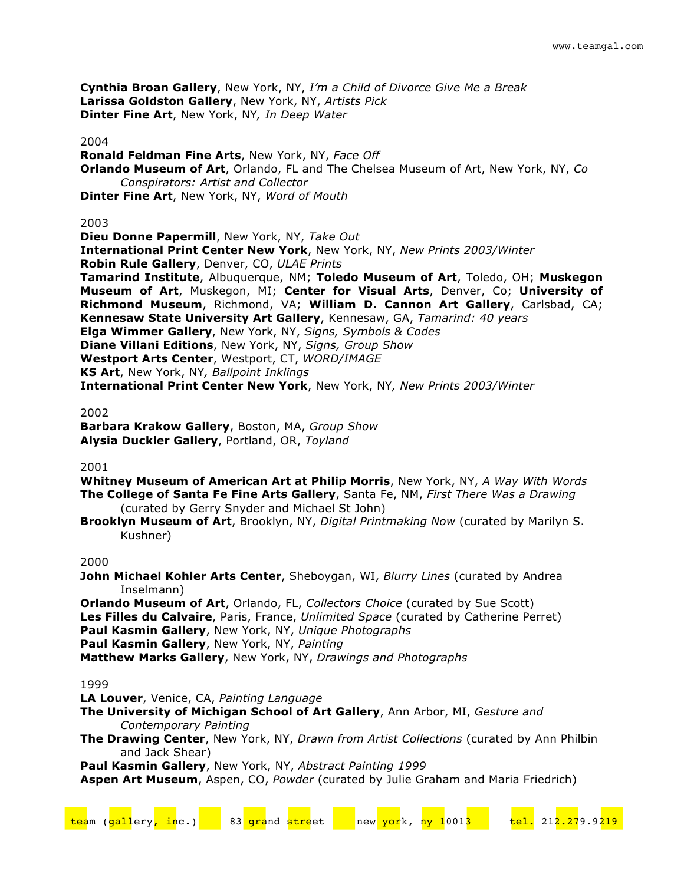**Cynthia Broan Gallery**, New York, NY, *I'm a Child of Divorce Give Me a Break* **Larissa Goldston Gallery**, New York, NY, *Artists Pick* **Dinter Fine Art**, New York, NY*, In Deep Water*

#### 2004

**Ronald Feldman Fine Arts**, New York, NY, *Face Off* **Orlando Museum of Art**, Orlando, FL and The Chelsea Museum of Art, New York, NY, *Co Conspirators: Artist and Collector* **Dinter Fine Art**, New York, NY, *Word of Mouth*

#### 2003

**Dieu Donne Papermill**, New York, NY, *Take Out* **International Print Center New York**, New York, NY, *New Prints 2003/Winter* **Robin Rule Gallery**, Denver, CO, *ULAE Prints* **Tamarind Institute**, Albuquerque, NM; **Toledo Museum of Art**, Toledo, OH; **Muskegon Museum of Art**, Muskegon, MI; **Center for Visual Arts**, Denver, Co; **University of Richmond Museum**, Richmond, VA; **William D. Cannon Art Gallery**, Carlsbad, CA; **Kennesaw State University Art Gallery**, Kennesaw, GA, *Tamarind: 40 years* **Elga Wimmer Gallery**, New York, NY, *Signs, Symbols & Codes* **Diane Villani Editions**, New York, NY, *Signs, Group Show* **Westport Arts Center**, Westport, CT, *WORD/IMAGE* **KS Art**, New York, NY*, Ballpoint Inklings* **International Print Center New York**, New York, NY*, New Prints 2003/Winter*

#### 2002

**Barbara Krakow Gallery**, Boston, MA, *Group Show* **Alysia Duckler Gallery**, Portland, OR, *Toyland*

#### 2001

**Whitney Museum of American Art at Philip Morris**, New York, NY, *A Way With Words* **The College of Santa Fe Fine Arts Gallery**, Santa Fe, NM, *First There Was a Drawing* (curated by Gerry Snyder and Michael St John)

**Brooklyn Museum of Art**, Brooklyn, NY, *Digital Printmaking Now* (curated by Marilyn S. Kushner)

### 2000

**John Michael Kohler Arts Center**, Sheboygan, WI, *Blurry Lines* (curated by Andrea Inselmann)

**Orlando Museum of Art**, Orlando, FL, *Collectors Choice* (curated by Sue Scott) **Les Filles du Calvaire**, Paris, France, *Unlimited Space* (curated by Catherine Perret) **Paul Kasmin Gallery**, New York, NY, *Unique Photographs* **Paul Kasmin Gallery**, New York, NY, *Painting* **Matthew Marks Gallery**, New York, NY, *Drawings and Photographs*

#### 1999

**LA Louver**, Venice, CA, *Painting Language*

- **The University of Michigan School of Art Gallery**, Ann Arbor, MI, *Gesture and Contemporary Painting*
- **The Drawing Center**, New York, NY, *Drawn from Artist Collections* (curated by Ann Philbin and Jack Shear)

**Paul Kasmin Gallery**, New York, NY, *Abstract Painting 1999*

**Aspen Art Museum**, Aspen, CO, *Powder* (curated by Julie Graham and Maria Friedrich)

| team (gallery <mark>, in</mark> c.) |  | 83 grand street |  | new york, ny 10013 |  | tel. 212.279.9219 |  |
|-------------------------------------|--|-----------------|--|--------------------|--|-------------------|--|
|                                     |  |                 |  |                    |  |                   |  |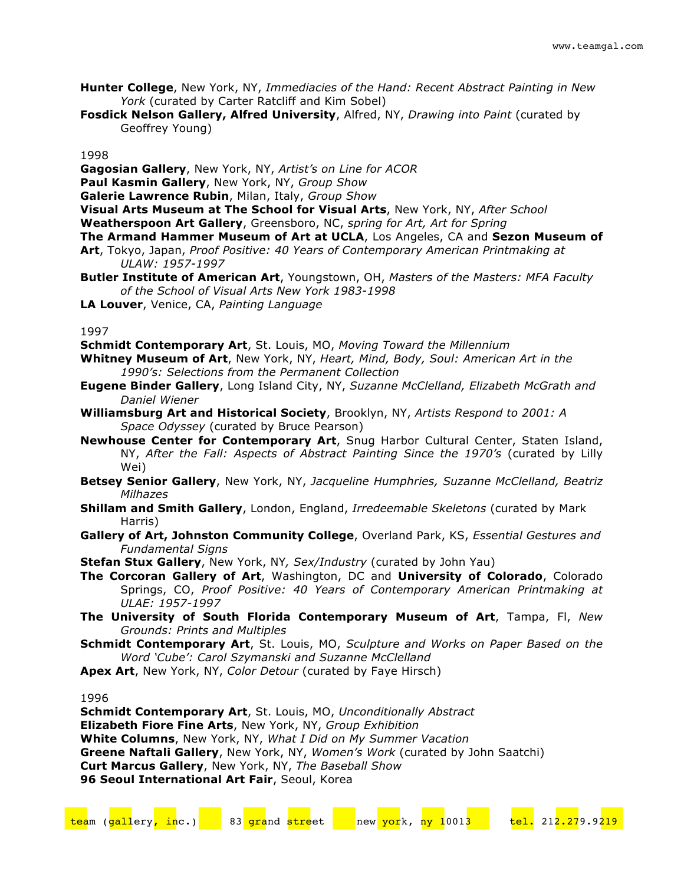- **Hunter College**, New York, NY, *Immediacies of the Hand: Recent Abstract Painting in New York* (curated by Carter Ratcliff and Kim Sobel)
- **Fosdick Nelson Gallery, Alfred University**, Alfred, NY, *Drawing into Paint* (curated by Geoffrey Young)

**Gagosian Gallery**, New York, NY, *Artist's on Line for ACOR*

**Paul Kasmin Gallery**, New York, NY, *Group Show*

**Galerie Lawrence Rubin**, Milan, Italy, *Group Show*

- **Visual Arts Museum at The School for Visual Arts**, New York, NY, *After School*
- **Weatherspoon Art Gallery**, Greensboro, NC, *spring for Art, Art for Spring*

**The Armand Hammer Museum of Art at UCLA**, Los Angeles, CA and **Sezon Museum of** 

- **Art**, Tokyo, Japan, *Proof Positive: 40 Years of Contemporary American Printmaking at ULAW: 1957-1997*
- **Butler Institute of American Art**, Youngstown, OH, *Masters of the Masters: MFA Faculty of the School of Visual Arts New York 1983-1998*
- **LA Louver**, Venice, CA, *Painting Language*

1997

- **Schmidt Contemporary Art**, St. Louis, MO, *Moving Toward the Millennium*
- **Whitney Museum of Art**, New York, NY, *Heart, Mind, Body, Soul: American Art in the 1990's: Selections from the Permanent Collection*
- **Eugene Binder Gallery**, Long Island City, NY, *Suzanne McClelland, Elizabeth McGrath and Daniel Wiener*
- **Williamsburg Art and Historical Society**, Brooklyn, NY, *Artists Respond to 2001: A Space Odyssey* (curated by Bruce Pearson)
- **Newhouse Center for Contemporary Art**, Snug Harbor Cultural Center, Staten Island, NY, *After the Fall: Aspects of Abstract Painting Since the 1970's* (curated by Lilly Wei)
- **Betsey Senior Gallery**, New York, NY, *Jacqueline Humphries, Suzanne McClelland, Beatriz Milhazes*
- **Shillam and Smith Gallery**, London, England, *Irredeemable Skeletons* (curated by Mark Harris)
- **Gallery of Art, Johnston Community College**, Overland Park, KS, *Essential Gestures and Fundamental Signs*
- **Stefan Stux Gallery**, New York, NY*, Sex/Industry* (curated by John Yau)
- **The Corcoran Gallery of Art**, Washington, DC and **University of Colorado**, Colorado Springs, CO, *Proof Positive: 40 Years of Contemporary American Printmaking at ULAE: 1957-1997*
- **The University of South Florida Contemporary Museum of Art**, Tampa, Fl, *New Grounds: Prints and Multiples*
- **Schmidt Contemporary Art**, St. Louis, MO, *Sculpture and Works on Paper Based on the Word 'Cube': Carol Szymanski and Suzanne McClelland*
- **Apex Art**, New York, NY, *Color Detour* (curated by Faye Hirsch)

1996

**Schmidt Contemporary Art**, St. Louis, MO, *Unconditionally Abstract* **Elizabeth Fiore Fine Arts**, New York, NY, *Group Exhibition* **White Columns**, New York, NY, *What I Did on My Summer Vacation* **Greene Naftali Gallery**, New York, NY, *Women's Work* (curated by John Saatchi) **Curt Marcus Gallery**, New York, NY, *The Baseball Show* **96 Seoul International Art Fair, Seoul, Korea**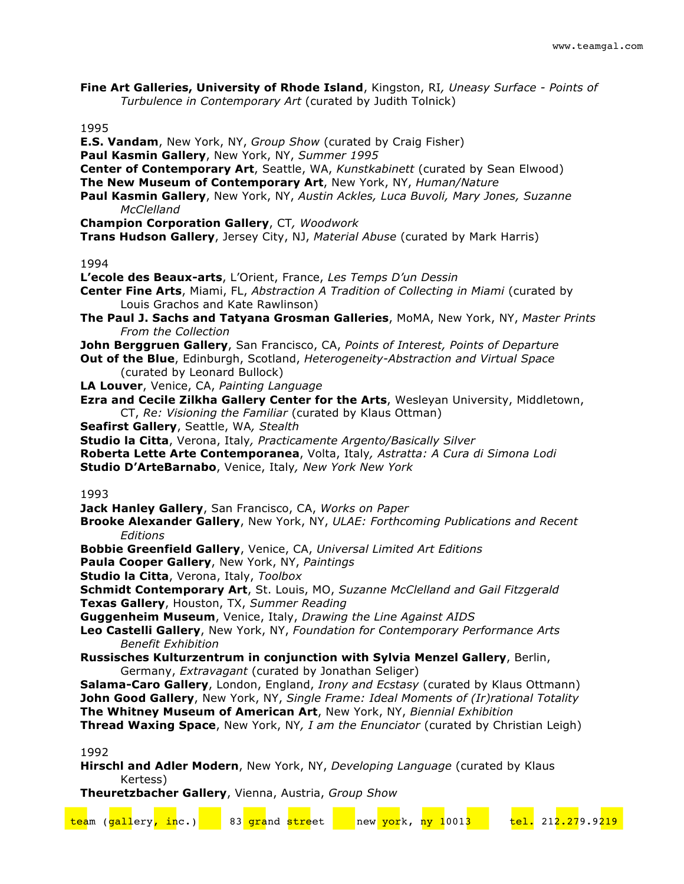**Fine Art Galleries, University of Rhode Island**, Kingston, RI*, Uneasy Surface - Points of Turbulence in Contemporary Art* (curated by Judith Tolnick)

1995

**E.S. Vandam**, New York, NY, *Group Show* (curated by Craig Fisher) **Paul Kasmin Gallery**, New York, NY, *Summer 1995* **Center of Contemporary Art**, Seattle, WA, *Kunstkabinett* (curated by Sean Elwood) **The New Museum of Contemporary Art**, New York, NY, *Human/Nature* **Paul Kasmin Gallery**, New York, NY, *Austin Ackles, Luca Buvoli, Mary Jones, Suzanne McClelland* **Champion Corporation Gallery**, CT*, Woodwork* **Trans Hudson Gallery**, Jersey City, NJ, *Material Abuse* (curated by Mark Harris) 1994 **L'ecole des Beaux-arts**, L'Orient, France, *Les Temps D'un Dessin* **Center Fine Arts**, Miami, FL, *Abstraction A Tradition of Collecting in Miami* (curated by Louis Grachos and Kate Rawlinson) **The Paul J. Sachs and Tatyana Grosman Galleries**, MoMA, New York, NY, *Master Prints From the Collection* **John Berggruen Gallery**, San Francisco, CA, *Points of Interest, Points of Departure* **Out of the Blue**, Edinburgh, Scotland, *Heterogeneity-Abstraction and Virtual Space* (curated by Leonard Bullock) **LA Louver**, Venice, CA, *Painting Language* **Ezra and Cecile Zilkha Gallery Center for the Arts**, Wesleyan University, Middletown, CT, *Re: Visioning the Familiar* (curated by Klaus Ottman) **Seafirst Gallery**, Seattle, WA*, Stealth* **Studio la Citta**, Verona, Italy*, Practicamente Argento/Basically Silver* **Roberta Lette Arte Contemporanea**, Volta, Italy*, Astratta: A Cura di Simona Lodi* **Studio D'ArteBarnabo**, Venice, Italy*, New York New York* 1993 **Jack Hanley Gallery**, San Francisco, CA, *Works on Paper* **Brooke Alexander Gallery**, New York, NY, *ULAE: Forthcoming Publications and Recent Editions* **Bobbie Greenfield Gallery**, Venice, CA, *Universal Limited Art Editions* **Paula Cooper Gallery**, New York, NY, *Paintings* **Studio la Citta**, Verona, Italy, *Toolbox* **Schmidt Contemporary Art**, St. Louis, MO, *Suzanne McClelland and Gail Fitzgerald* **Texas Gallery**, Houston, TX, *Summer Reading* **Guggenheim Museum**, Venice, Italy, *Drawing the Line Against AIDS* **Leo Castelli Gallery**, New York, NY, *Foundation for Contemporary Performance Arts Benefit Exhibition* **Russisches Kulturzentrum in conjunction with Sylvia Menzel Gallery**, Berlin, Germany, *Extravagant* (curated by Jonathan Seliger) **Salama-Caro Gallery**, London, England, *Irony and Ecstasy* (curated by Klaus Ottmann) **John Good Gallery**, New York, NY, *Single Frame: Ideal Moments of (Ir)rational Totality*

**The Whitney Museum of American Art**, New York, NY, *Biennial Exhibition*

**Thread Waxing Space**, New York, NY*, I am the Enunciator* (curated by Christian Leigh)

1992

**Hirschl and Adler Modern**, New York, NY, *Developing Language* (curated by Klaus Kertess)

**Theuretzbacher Gallery**, Vienna, Austria, *Group Show*

| team (gallery <mark>, in</mark> c.) |  | 83 grand street | new york, ny 1001 <mark>3</mark> |  | <mark>tel.</mark> 212.279.9219 |  |
|-------------------------------------|--|-----------------|----------------------------------|--|--------------------------------|--|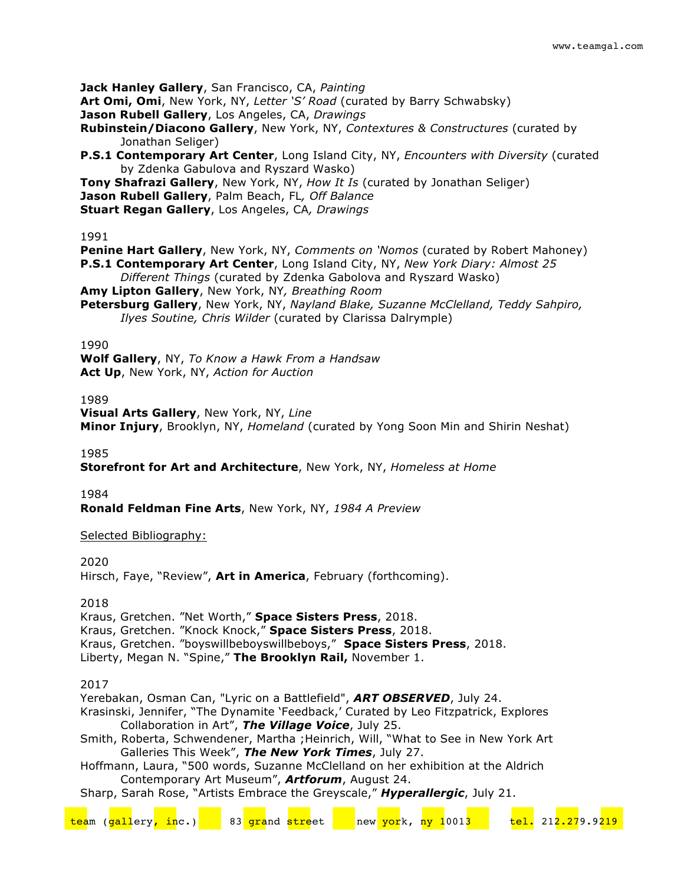**Jack Hanley Gallery**, San Francisco, CA, *Painting*

**Art Omi, Omi**, New York, NY, *Letter 'S' Road* (curated by Barry Schwabsky)

**Jason Rubell Gallery**, Los Angeles, CA, *Drawings*

**Rubinstein/Diacono Gallery**, New York, NY, *Contextures & Constructures* (curated by Jonathan Seliger)

**P.S.1 Contemporary Art Center**, Long Island City, NY, *Encounters with Diversity* (curated by Zdenka Gabulova and Ryszard Wasko)

**Tony Shafrazi Gallery**, New York, NY, *How It Is* (curated by Jonathan Seliger)

**Jason Rubell Gallery**, Palm Beach, FL*, Off Balance*

**Stuart Regan Gallery**, Los Angeles, CA*, Drawings*

## 1991

**Penine Hart Gallery**, New York, NY, *Comments on 'Nomos* (curated by Robert Mahoney) **P.S.1 Contemporary Art Center**, Long Island City, NY, *New York Diary: Almost 25 Different Things* (curated by Zdenka Gabolova and Ryszard Wasko)

**Amy Lipton Gallery**, New York, NY*, Breathing Room*

**Petersburg Gallery**, New York, NY, *Nayland Blake, Suzanne McClelland, Teddy Sahpiro, Ilyes Soutine, Chris Wilder* (curated by Clarissa Dalrymple)

# 1990

**Wolf Gallery**, NY, *To Know a Hawk From a Handsaw* **Act Up**, New York, NY, *Action for Auction*

# 1989

**Visual Arts Gallery**, New York, NY, *Line* **Minor Injury**, Brooklyn, NY, *Homeland* (curated by Yong Soon Min and Shirin Neshat)

1985

**Storefront for Art and Architecture**, New York, NY, *Homeless at Home*

1984

**Ronald Feldman Fine Arts**, New York, NY, *1984 A Preview*

# Selected Bibliography:

2020

Hirsch, Faye, "Review", **Art in America**, February (forthcoming).

## 2018

Kraus, Gretchen. "Net Worth," **Space Sisters Press**, 2018.

Kraus, Gretchen. "Knock Knock," **Space Sisters Press**, 2018.

Kraus, Gretchen. "boyswillbeboyswillbeboys," **Space Sisters Press**, 2018.

Liberty, Megan N. "Spine," **The Brooklyn Rail,** November 1.

# 2017

Yerebakan, Osman Can, "Lyric on a Battlefield", *ART OBSERVED*, July 24.

Krasinski, Jennifer, "The Dynamite 'Feedback,' Curated by Leo Fitzpatrick, Explores Collaboration in Art", *The Village Voice*, July 25.

Smith, Roberta, Schwendener, Martha ;Heinrich, Will, "What to See in New York Art Galleries This Week", *The New York Times*, July 27.

Hoffmann, Laura, "500 words, Suzanne McClelland on her exhibition at the Aldrich Contemporary Art Museum", *Artforum*, August 24.

Sharp, Sarah Rose, "Artists Embrace the Greyscale," *Hyperallergic*, July 21.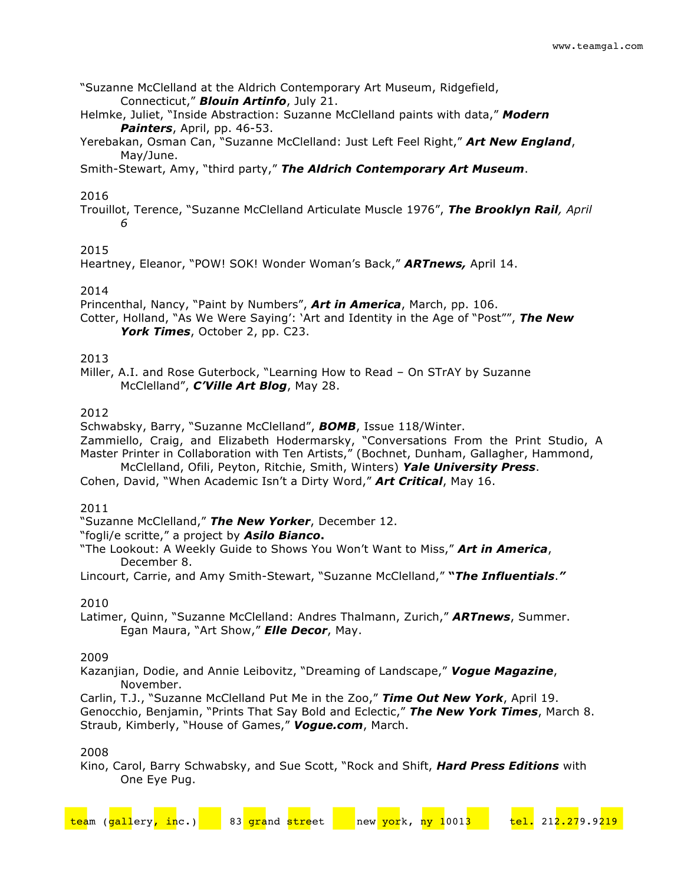"Suzanne McClelland at the Aldrich Contemporary Art Museum, Ridgefield, Connecticut," *Blouin Artinfo*, July 21.

Helmke, Juliet, "Inside Abstraction: Suzanne McClelland paints with data," *Modern Painters*, April, pp. 46-53.

Yerebakan, Osman Can, "Suzanne McClelland: Just Left Feel Right," *Art New England*, May/June.

Smith-Stewart, Amy, "third party," *The Aldrich Contemporary Art Museum*.

# 2016

Trouillot, Terence, "Suzanne McClelland Articulate Muscle 1976", *The Brooklyn Rail, April 6*

# 2015

Heartney, Eleanor, "POW! SOK! Wonder Woman's Back," *ARTnews,* April 14.

2014

Princenthal, Nancy, "Paint by Numbers", *Art in America*, March, pp. 106. Cotter, Holland, "As We Were Saying': 'Art and Identity in the Age of "Post"", *The New York Times*, October 2, pp. C23.

# 2013

Miller, A.I. and Rose Guterbock, "Learning How to Read – On STrAY by Suzanne McClelland", *C'Ville Art Blog*, May 28.

# 2012

Schwabsky, Barry, "Suzanne McClelland", *BOMB*, Issue 118/Winter.

Zammiello, Craig, and Elizabeth Hodermarsky, "Conversations From the Print Studio, A Master Printer in Collaboration with Ten Artists," (Bochnet, Dunham, Gallagher, Hammond,

McClelland, Ofili, Peyton, Ritchie, Smith, Winters) *Yale University Press*. Cohen, David, "When Academic Isn't a Dirty Word," *Art Critical*, May 16.

## 2011

"Suzanne McClelland," *The New Yorker*, December 12.

"fogli/e scritte," a project by *Asilo Bianco***.**

"The Lookout: A Weekly Guide to Shows You Won't Want to Miss," *Art in America*, December 8.

Lincourt, Carrie, and Amy Smith-Stewart, "Suzanne McClelland," **"***The Influentials*.*"*

## 2010

Latimer, Quinn, "Suzanne McClelland: Andres Thalmann, Zurich," *ARTnews*, Summer. Egan Maura, "Art Show," *Elle Decor*, May.

## 2009

Kazanjian, Dodie, and Annie Leibovitz, "Dreaming of Landscape," *Vogue Magazine*, November.

Carlin, T.J., "Suzanne McClelland Put Me in the Zoo," *Time Out New York*, April 19. Genocchio, Benjamin, "Prints That Say Bold and Eclectic," *The New York Times*, March 8. Straub, Kimberly, "House of Games," *Vogue.com*, March.

## 2008

Kino, Carol, Barry Schwabsky, and Sue Scott, "Rock and Shift, *Hard Press Editions* with One Eye Pug.

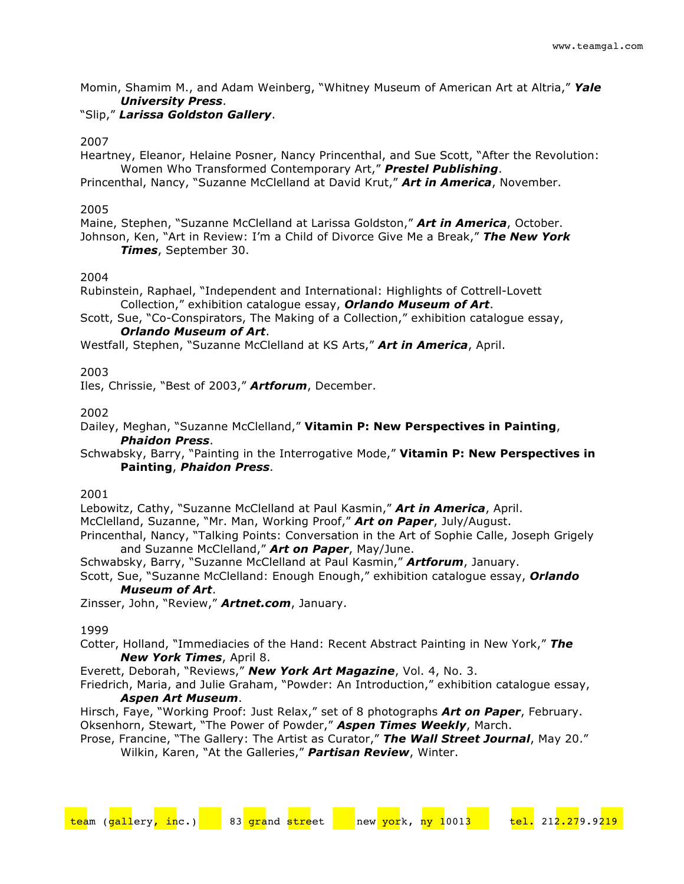Momin, Shamim M., and Adam Weinberg, "Whitney Museum of American Art at Altria," *Yale University Press*.

# "Slip," *Larissa Goldston Gallery*.

# 2007

Heartney, Eleanor, Helaine Posner, Nancy Princenthal, and Sue Scott, "After the Revolution: Women Who Transformed Contemporary Art," *Prestel Publishing*.

Princenthal, Nancy, "Suzanne McClelland at David Krut," *Art in America*, November.

# 2005

Maine, Stephen, "Suzanne McClelland at Larissa Goldston," *Art in America*, October.

Johnson, Ken, "Art in Review: I'm a Child of Divorce Give Me a Break," *The New York Times*, September 30.

# 2004

Rubinstein, Raphael, "Independent and International: Highlights of Cottrell-Lovett Collection," exhibition catalogue essay, *Orlando Museum of Art*.

Scott, Sue, "Co-Conspirators, The Making of a Collection," exhibition catalogue essay, *Orlando Museum of Art*.

Westfall, Stephen, "Suzanne McClelland at KS Arts," *Art in America*, April.

# 2003

Iles, Chrissie, "Best of 2003," *Artforum*, December.

2002

Dailey, Meghan, "Suzanne McClelland," **Vitamin P: New Perspectives in Painting**, *Phaidon Press*.

Schwabsky, Barry, "Painting in the Interrogative Mode," **Vitamin P: New Perspectives in Painting**, *Phaidon Press*.

2001

Lebowitz, Cathy, "Suzanne McClelland at Paul Kasmin," *Art in America*, April.

McClelland, Suzanne, "Mr. Man, Working Proof," *Art on Paper*, July/August.

Princenthal, Nancy, "Talking Points: Conversation in the Art of Sophie Calle, Joseph Grigely and Suzanne McClelland," *Art on Paper*, May/June.

Schwabsky, Barry, "Suzanne McClelland at Paul Kasmin," *Artforum*, January.

Scott, Sue, "Suzanne McClelland: Enough Enough," exhibition catalogue essay, *Orlando Museum of Art*.

Zinsser, John, "Review," *Artnet.com*, January.

## 1999

Cotter, Holland, "Immediacies of the Hand: Recent Abstract Painting in New York," *The New York Times*, April 8.

Everett, Deborah, "Reviews," *New York Art Magazine*, Vol. 4, No. 3.

Friedrich, Maria, and Julie Graham, "Powder: An Introduction," exhibition catalogue essay, *Aspen Art Museum*.

Hirsch, Faye, "Working Proof: Just Relax," set of 8 photographs *Art on Paper*, February. Oksenhorn, Stewart, "The Power of Powder," *Aspen Times Weekly*, March.

Prose, Francine, "The Gallery: The Artist as Curator," *The Wall Street Journal*, May 20." Wilkin, Karen, "At the Galleries," *Partisan Review*, Winter.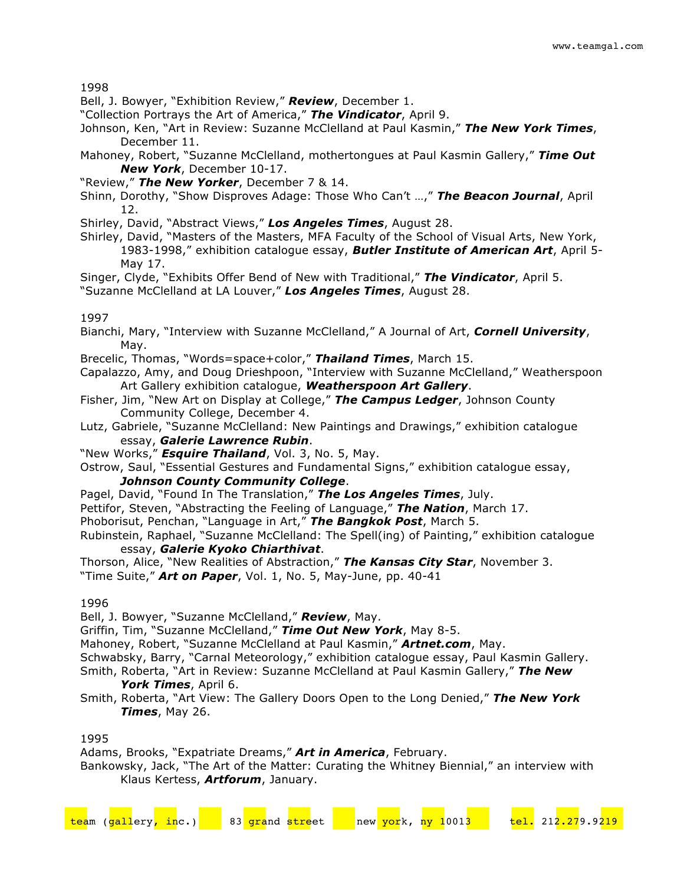Bell, J. Bowyer, "Exhibition Review," *Review*, December 1.

"Collection Portrays the Art of America," *The Vindicator*, April 9.

Johnson, Ken, "Art in Review: Suzanne McClelland at Paul Kasmin," *The New York Times*, December 11.

- Mahoney, Robert, "Suzanne McClelland, mothertongues at Paul Kasmin Gallery," *Time Out New York*, December 10-17.
- "Review," *The New Yorker*, December 7 & 14.
- Shinn, Dorothy, "Show Disproves Adage: Those Who Can't …," *The Beacon Journal*, April 12.
- Shirley, David, "Abstract Views," *Los Angeles Times*, August 28.
- Shirley, David, "Masters of the Masters, MFA Faculty of the School of Visual Arts, New York, 1983-1998," exhibition catalogue essay, *Butler Institute of American Art*, April 5- May 17.
- Singer, Clyde, "Exhibits Offer Bend of New with Traditional," *The Vindicator*, April 5.

"Suzanne McClelland at LA Louver," *Los Angeles Times*, August 28.

# 1997

- Bianchi, Mary, "Interview with Suzanne McClelland," A Journal of Art, *Cornell University*, May.
- Brecelic, Thomas, "Words=space+color," *Thailand Times*, March 15.
- Capalazzo, Amy, and Doug Drieshpoon, "Interview with Suzanne McClelland," Weatherspoon Art Gallery exhibition catalogue, *Weatherspoon Art Gallery*.
- Fisher, Jim, "New Art on Display at College," *The Campus Ledger*, Johnson County Community College, December 4.
- Lutz, Gabriele, "Suzanne McClelland: New Paintings and Drawings," exhibition catalogue essay, *Galerie Lawrence Rubin*.
- "New Works," *Esquire Thailand*, Vol. 3, No. 5, May.
- Ostrow, Saul, "Essential Gestures and Fundamental Signs," exhibition catalogue essay, *Johnson County Community College*.
- Pagel, David, "Found In The Translation," *The Los Angeles Times*, July.
- Pettifor, Steven, "Abstracting the Feeling of Language," *The Nation*, March 17.
- Phoborisut, Penchan, "Language in Art," *The Bangkok Post*, March 5.

Rubinstein, Raphael, "Suzanne McClelland: The Spell(ing) of Painting," exhibition catalogue essay, *Galerie Kyoko Chiarthivat*.

Thorson, Alice, "New Realities of Abstraction," *The Kansas City Star*, November 3. "Time Suite," *Art on Paper*, Vol. 1, No. 5, May-June, pp. 40-41

## 1996

Bell, J. Bowyer, "Suzanne McClelland," *Review*, May.

Griffin, Tim, "Suzanne McClelland," *Time Out New York*, May 8-5.

Mahoney, Robert, "Suzanne McClelland at Paul Kasmin," *Artnet.com*, May.

- Schwabsky, Barry, "Carnal Meteorology," exhibition catalogue essay, Paul Kasmin Gallery.
- Smith, Roberta, "Art in Review: Suzanne McClelland at Paul Kasmin Gallery," *The New York Times*, April 6.
- Smith, Roberta, "Art View: The Gallery Doors Open to the Long Denied," *The New York Times*, May 26.

1995

Adams, Brooks, "Expatriate Dreams," *Art in America*, February.

Bankowsky, Jack, "The Art of the Matter: Curating the Whitney Biennial," an interview with Klaus Kertess, *Artforum*, January.

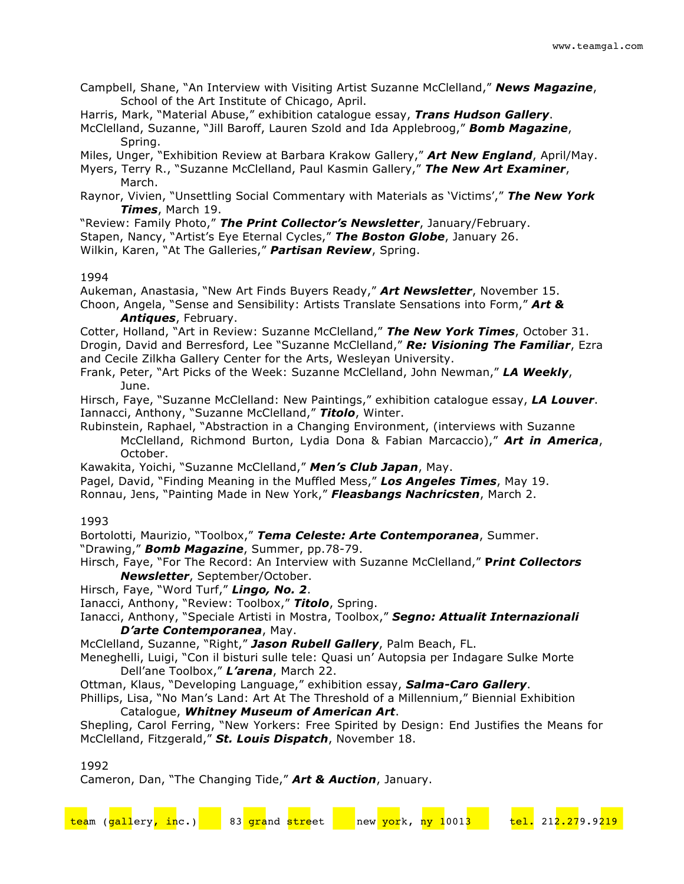Campbell, Shane, "An Interview with Visiting Artist Suzanne McClelland," *News Magazine*, School of the Art Institute of Chicago, April.

Harris, Mark, "Material Abuse," exhibition catalogue essay, *Trans Hudson Gallery*.

McClelland, Suzanne, "Jill Baroff, Lauren Szold and Ida Applebroog," *Bomb Magazine*, Spring.

Miles, Unger, "Exhibition Review at Barbara Krakow Gallery," *Art New England*, April/May.

Myers, Terry R., "Suzanne McClelland, Paul Kasmin Gallery," *The New Art Examiner*, March.

Raynor, Vivien, "Unsettling Social Commentary with Materials as 'Victims'," *The New York Times*, March 19.

"Review: Family Photo," *The Print Collector's Newsletter*, January/February. Stapen, Nancy, "Artist's Eye Eternal Cycles," *The Boston Globe*, January 26.

Wilkin, Karen, "At The Galleries," *Partisan Review*, Spring.

## 1994

Aukeman, Anastasia, "New Art Finds Buyers Ready," *Art Newsletter*, November 15. Choon, Angela, "Sense and Sensibility: Artists Translate Sensations into Form," *Art & Antiques*, February.

Cotter, Holland, "Art in Review: Suzanne McClelland," *The New York Times*, October 31. Drogin, David and Berresford, Lee "Suzanne McClelland," *Re: Visioning The Familiar*, Ezra and Cecile Zilkha Gallery Center for the Arts, Wesleyan University.

Frank, Peter, "Art Picks of the Week: Suzanne McClelland, John Newman," *LA Weekly*, June.

Hirsch, Faye, "Suzanne McClelland: New Paintings," exhibition catalogue essay, *LA Louver*. Iannacci, Anthony, "Suzanne McClelland," *Titolo*, Winter.

Rubinstein, Raphael, "Abstraction in a Changing Environment, (interviews with Suzanne McClelland, Richmond Burton, Lydia Dona & Fabian Marcaccio)," *Art in America*, October.

Kawakita, Yoichi, "Suzanne McClelland," *Men's Club Japan*, May.

Pagel, David, "Finding Meaning in the Muffled Mess," *Los Angeles Times*, May 19. Ronnau, Jens, "Painting Made in New York," *Fleasbangs Nachricsten*, March 2.

## 1993

Bortolotti, Maurizio, "Toolbox," *Tema Celeste: Arte Contemporanea*, Summer. "Drawing," *Bomb Magazine*, Summer, pp.78-79.

Hirsch, Faye, "For The Record: An Interview with Suzanne McClelland," **P***rint Collectors Newsletter*, September/October.

Hirsch, Faye, "Word Turf," *Lingo, No. 2*.

Ianacci, Anthony, "Review: Toolbox," *Titolo*, Spring.

Ianacci, Anthony, "Speciale Artisti in Mostra, Toolbox," *Segno: Attualit Internazionali D'arte Contemporanea*, May.

McClelland, Suzanne, "Right," *Jason Rubell Gallery*, Palm Beach, FL.

Meneghelli, Luigi, "Con il bisturi sulle tele: Quasi un' Autopsia per Indagare Sulke Morte Dell'ane Toolbox," *L'arena*, March 22.

Ottman, Klaus, "Developing Language," exhibition essay, *Salma-Caro Gallery*.

Phillips, Lisa, "No Man's Land: Art At The Threshold of a Millennium," Biennial Exhibition Catalogue, *Whitney Museum of American Art*.

Shepling, Carol Ferring, "New Yorkers: Free Spirited by Design: End Justifies the Means for McClelland, Fitzgerald," *St. Louis Dispatch*, November 18.

1992

Cameron, Dan, "The Changing Tide," *Art & Auction*, January.

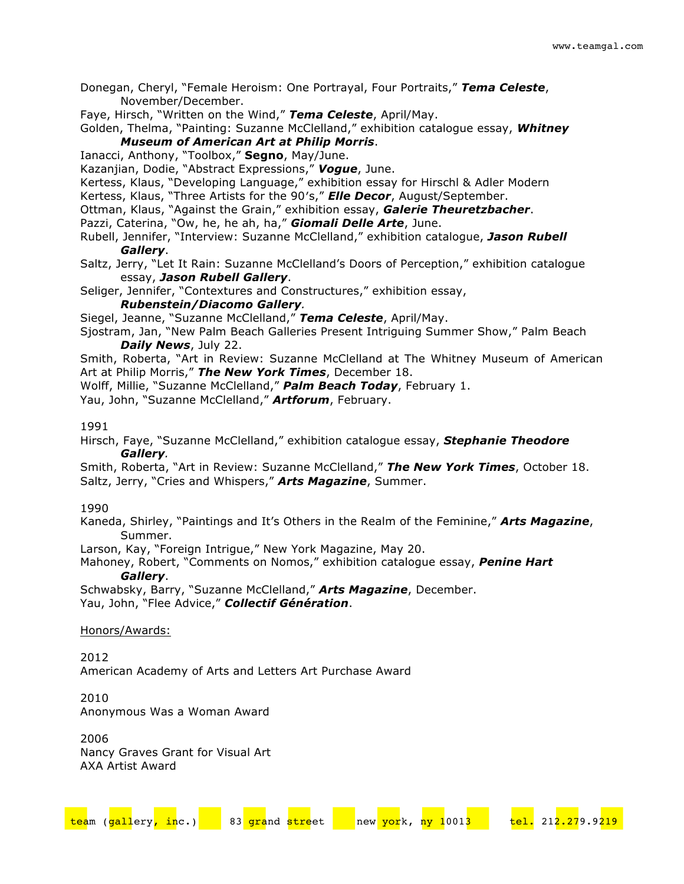Donegan, Cheryl, "Female Heroism: One Portrayal, Four Portraits," *Tema Celeste*, November/December.

Faye, Hirsch, "Written on the Wind," *Tema Celeste*, April/May.

Golden, Thelma, "Painting: Suzanne McClelland," exhibition catalogue essay, *Whitney Museum of American Art at Philip Morris*.

Ianacci, Anthony, "Toolbox," **Segno**, May/June.

Kazanjian, Dodie, "Abstract Expressions," *Vogue*, June.

Kertess, Klaus, "Developing Language," exhibition essay for Hirschl & Adler Modern

Kertess, Klaus, "Three Artists for the 90′s," *Elle Decor*, August/September.

- Ottman, Klaus, "Against the Grain," exhibition essay, *Galerie Theuretzbacher*.
- Pazzi, Caterina, "Ow, he, he ah, ha," *Giomali Delle Arte*, June.
- Rubell, Jennifer, "Interview: Suzanne McClelland," exhibition catalogue, *Jason Rubell Gallery*.
- Saltz, Jerry, "Let It Rain: Suzanne McClelland's Doors of Perception," exhibition catalogue essay, *Jason Rubell Gallery*.

Seliger, Jennifer, "Contextures and Constructures," exhibition essay,

*Rubenstein/Diacomo Gallery.*

Siegel, Jeanne, "Suzanne McClelland," *Tema Celeste*, April/May.

Sjostram, Jan, "New Palm Beach Galleries Present Intriguing Summer Show," Palm Beach *Daily News*, July 22.

Smith, Roberta, "Art in Review: Suzanne McClelland at The Whitney Museum of American Art at Philip Morris," *The New York Times*, December 18.

Wolff, Millie, "Suzanne McClelland," *Palm Beach Today*, February 1.

Yau, John, "Suzanne McClelland," *Artforum*, February.

### 1991

Hirsch, Faye, "Suzanne McClelland," exhibition catalogue essay, *Stephanie Theodore Gallery.*

Smith, Roberta, "Art in Review: Suzanne McClelland," *The New York Times*, October 18. Saltz, Jerry, "Cries and Whispers," *Arts Magazine*, Summer.

## 1990

Kaneda, Shirley, "Paintings and It's Others in the Realm of the Feminine," *Arts Magazine*, Summer.

Larson, Kay, "Foreign Intrigue," New York Magazine, May 20.

Mahoney, Robert, "Comments on Nomos," exhibition catalogue essay, *Penine Hart Gallery*.

Schwabsky, Barry, "Suzanne McClelland," *Arts Magazine*, December. Yau, John, "Flee Advice," *Collectif Génération*.

## Honors/Awards:

2012 American Academy of Arts and Letters Art Purchase Award

2010 Anonymous Was a Woman Award

2006 Nancy Graves Grant for Visual Art AXA Artist Award